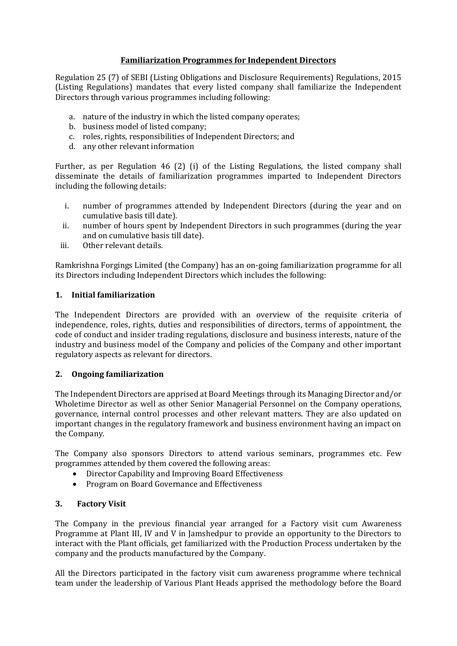# **Familiarization Programmes for Independent Directors**

Regulation 25 (7) of SEBI (Listing Obligations and Disclosure Requirements) Regulations, 2015 (Listing Regulations) mandates that every listed company shall familiarize the Independent Directors through various programmes including following:

- a. nature of the industry in which the listed company operates;
- b. business model of listed company;
- c. roles, rights, responsibilities of Independent Directors; and
- d. any other relevant information

Further, as per Regulation 46 (2) (i) of the Listing Regulations, the listed company shall disseminate the details of familiarization programmes imparted to Independent Directors including the following details:

- i. number of programmes attended by Independent Directors (during the year and on cumulative basis till date).
- ii. number of hours spent by Independent Directors in such programmes (during the year and on cumulative basis till date).
- iii. Other relevant details.

Ramkrishna Forgings Limited (the Company) has an on-going familiarization programme for all its Directors including Independent Directors which includes the following:

### **1. Initial familiarization**

The Independent Directors are provided with an overview of the requisite criteria of independence, roles, rights, duties and responsibilities of directors, terms of appointment, the code of conduct and insider trading regulations, disclosure and business interests, nature of the industry and business model of the Company and policies of the Company and other important regulatory aspects as relevant for directors.

### **2. Ongoing familiarization**

The Independent Directors are apprised at Board Meetings through its Managing Director and/or Wholetime Director as well as other Senior Managerial Personnel on the Company operations, governance, internal control processes and other relevant matters. They are also updated on important changes in the regulatory framework and business environment having an impact on the Company.

The Company also sponsors Directors to attend various seminars, programmes etc. Few programmes attended by them covered the following areas:

- Director Capability and Improving Board Effectiveness
- Program on Board Governance and Effectiveness

### **3. Factory Visit**

The Company in the previous financial year arranged for a Factory visit cum Awareness Programme at Plant III, IV and V in Jamshedpur to provide an opportunity to the Directors to interact with the Plant officials, get familiarized with the Production Process undertaken by the company and the products manufactured by the Company.

All the Directors participated in the factory visit cum awareness programme where technical team under the leadership of Various Plant Heads apprised the methodology before the Board